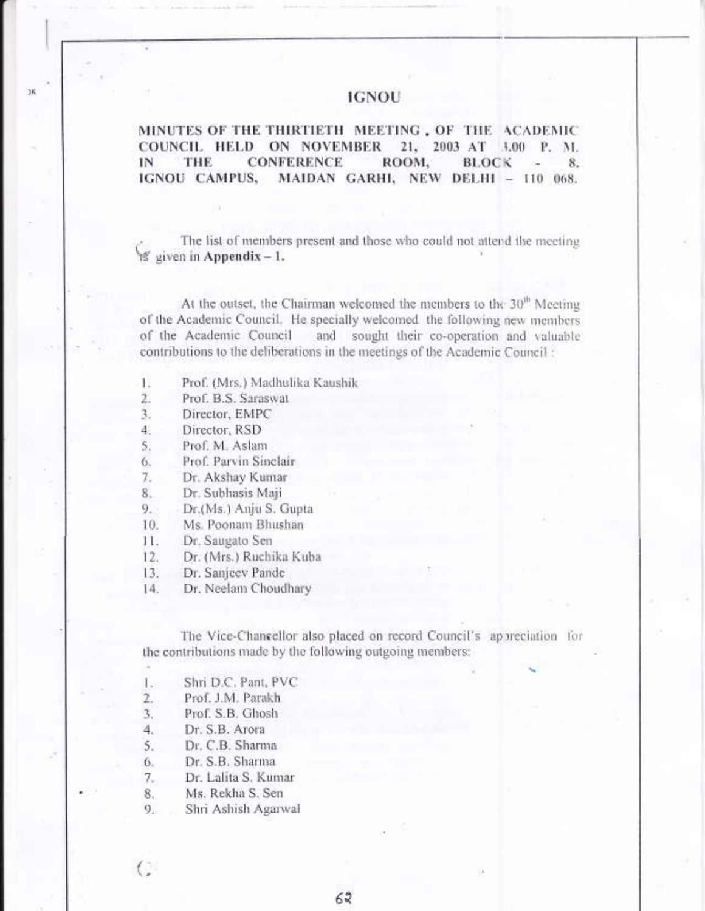# **IGNOU**

MINUTES OF THE THIRTIETH MEETING, OF THE ACADEMIC COUNCIL HELD ON NOVEMBER 21, 2003 AT 3.00 P. M. THE **CONFERENCE** IN ROOM. **BLOCK** 8. IGNOU CAMPUS, MAIDAN GARHI, NEW DELHI - 110 068.

The list of members present and those who could not attend the meeting if given in Appendix  $-1$ .

At the outset, the Chairman welcomed the members to the 30<sup>th</sup> Meeting of the Academic Council. He specially welcomed the following new members of the Academic Council and sought their co-operation and valuable contributions to the deliberations in the meetings of the Academic Council :

- Prof. (Mrs.) Madhulika Kaushik 15
- $\sum_{i=1}^{n}$ Prof. B.S. Saraswat
- Director, EMPC 3.
- 4. Director, RSD

ĴК

- Prof. M. Aslam 5.
- Prof. Parvin Sinclair 6.
- $7.$ Dr. Akshay Kumar
- 8. Dr. Subhasis Maji
- 9. Dr.(Ms.) Anju S. Gupta
- Ms. Poonam Bhushan 10.
- $11.$ Dr. Saugato Sen
- Dr. (Mrs.) Ruchika Kuba  $12.$
- Dr. Sanieev Pande 13.
- $[4]$ Dr. Neelam Choudhary

The Vice-Chancellor also placed on record Council's appreciation for the contributions made by the following outgoing members:

62

- $1 -$ Shri D.C. Pant, PVC
- $2.$ Prof. J.M. Parakh
- Prof. S.B. Ghosh 3.
- Dr. S.B. Arora 4.
- 5. Dr. C.B. Sharma
- Dr. S.B. Sharma 6.

C

- $7.$ Dr. Lalita S. Kumar
- Ms. Rekha S. Sen 8.
- Shri Ashish Agarwal 9.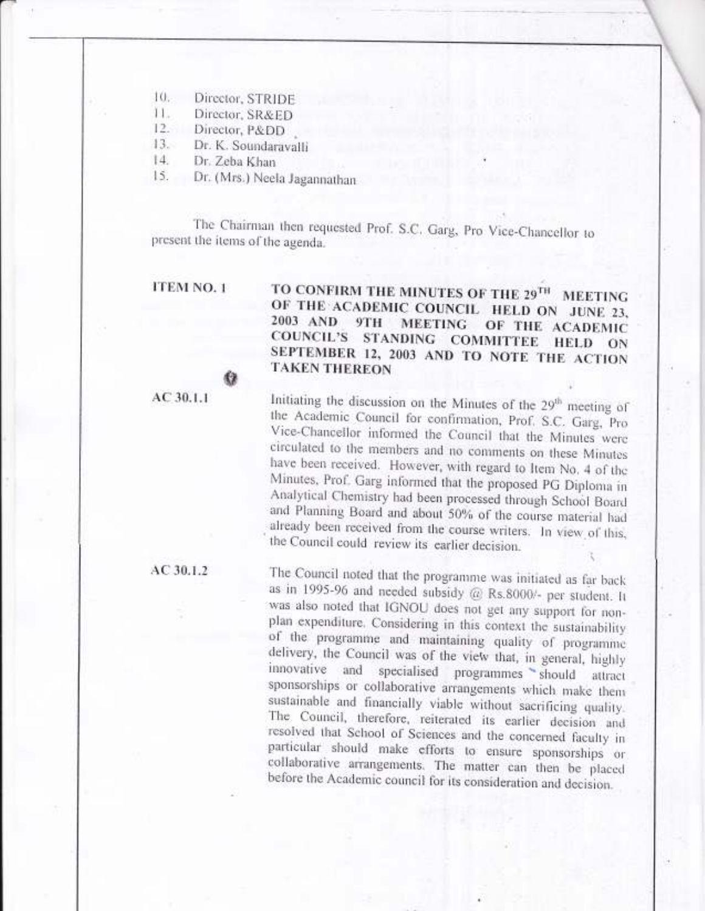$10.$ Director, STRIDE

 $11.$ Director, SR&ED

 $12.$ Director, P&DD

 $13.$ Dr. K. Soundaravalli

儗

 $|4\rangle$ Dr. Zeba Khan

15. Dr. (Mrs.) Neela Jagannathan

The Chairman then requested Prof. S.C. Garg, Pro Vice-Chancellor to present the items of the agenda.

ITEM NO. 1

TO CONFIRM THE MINUTES OF THE 29TH **MEETING** OF THE ACADEMIC COUNCIL HELD ON JUNE 23, 2003 AND 9TH MEETING OF THE ACADEMIC COUNCIL'S STANDING COMMITTEE HELD ON SEPTEMBER 12, 2003 AND TO NOTE THE ACTION **TAKEN THEREON** 

 $AC30.1.1$ 

Initiating the discussion on the Minutes of the 29<sup>th</sup> meeting of the Academic Council for confirmation, Prof. S.C. Garg, Pro Vice-Chancellor informed the Council that the Minutes were circulated to the members and no comments on these Minutes have been received. However, with regard to Item No. 4 of the Minutes, Prof. Garg informed that the proposed PG Diploma in Analytical Chemistry had been processed through School Board and Planning Board and about 50% of the course material had already been received from the course writers. In view of this, the Council could review its earlier decision.

AC 30.1.2

The Council noted that the programme was initiated as far back as in 1995-96 and needed subsidy @ Rs.8000/- per student. It was also noted that IGNOU does not get any support for nonplan expenditure. Considering in this context the sustainability of the programme and maintaining quality of programme delivery, the Council was of the view that, in general, highly innovative and specialised programmes should attract sponsorships or collaborative arrangements which make them sustainable and financially viable without sacrificing quality. The Council, therefore, reiterated its earlier decision and resolved that School of Sciences and the concerned faculty in particular should make efforts to ensure sponsorships or collaborative arrangements. The matter can then be placed before the Academic council for its consideration and decision.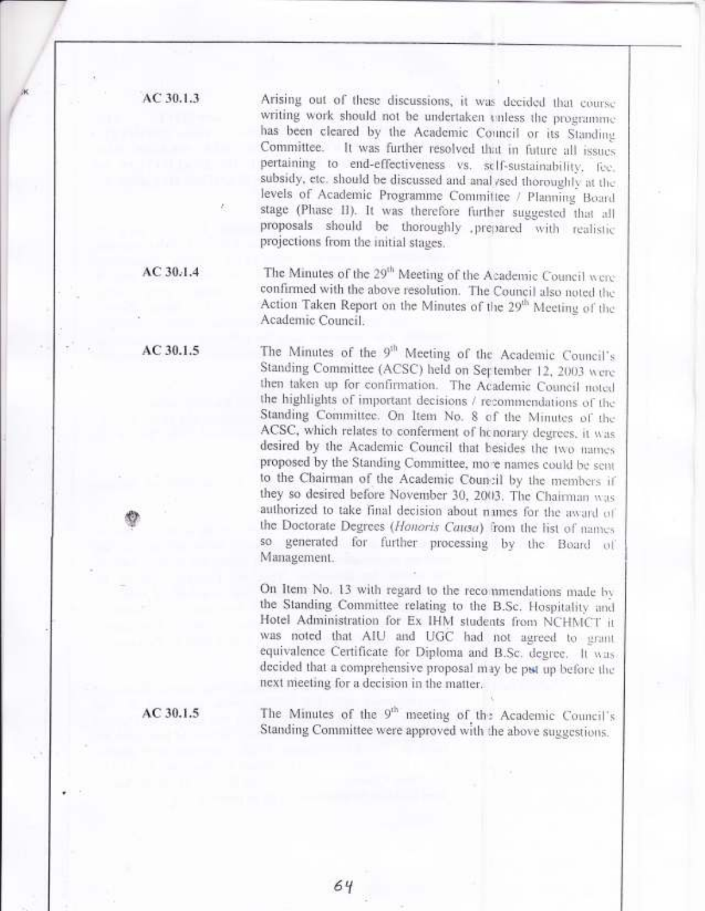AC 30.1.3

Arising out of these discussions, it was decided that course writing work should not be undertaken enless the programme. has been cleared by the Academic Council or its Standing Committee. It was further resolved that in future all issues pertaining to end-effectiveness vs. self-sustainability, fee, subsidy, etc. should be discussed and analysed thoroughly at the levels of Academic Programme Committee / Planning Board stage (Phase II). It was therefore further suggested that all proposals should be thoroughly prepared with realistic projections from the initial stages.

 $AC30.1.4$ 

The Minutes of the 29<sup>th</sup> Meeting of the Academic Council were confirmed with the above resolution. The Council also noted the Action Taken Report on the Minutes of the 29<sup>th</sup> Meeting of the Academic Council.

The Minutes of the 9<sup>th</sup> Meeting of the Academic Council's Standing Committee (ACSC) held on September 12, 2003 were then taken up for confirmation. The Academic Council noted the highlights of important decisions / recommendations of the Standing Committee. On Item No. 8 of the Minutes of the ACSC, which relates to conferment of henorary degrees, it was desired by the Academic Council that besides the two names proposed by the Standing Committee, more names could be sent to the Chairman of the Academic Council by the members if they so desired before November 30, 2003. The Chairman was authorized to take final decision about names for the award of the Doctorate Degrees (Honoris Causa) from the list of names so generated for further processing by the Board of Management.

On Item No. 13 with regard to the recommendations made by the Standing Committee relating to the B.Sc. Hospitality and Hotel Administration for Ex IHM students from NCHMCT it was noted that AIU and UGC had not agreed to grant equivalence Certificate for Diploma and B.Sc. degree. It was decided that a comprehensive proposal may be put up before the next meeting for a decision in the matter.

The Minutes of the 9<sup>th</sup> meeting of the Academic Council's Standing Committee were approved with the above suggestions.

 $AC30.1.5$ 

AC 30.1.5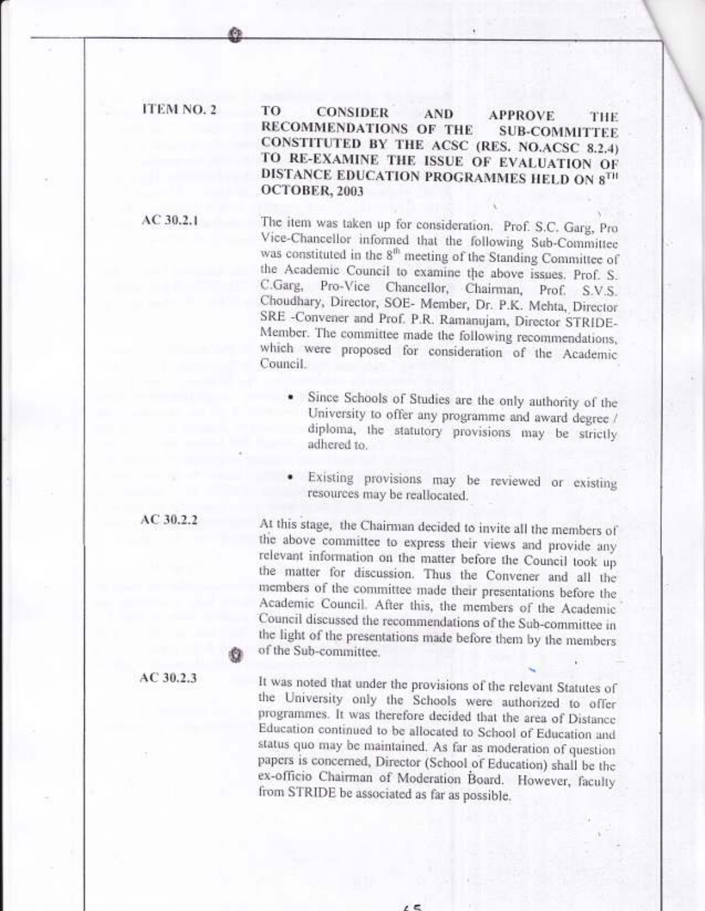## ITEM NO. 2

TO **CONSIDER AND APPROVE** THE RECOMMENDATIONS OF THE **SUB-COMMITTEE** CONSTITUTED BY THE ACSC (RES. NO.ACSC 8.2.4) TO RE-EXAMINE THE ISSUE OF EVALUATION OF DISTANCE EDUCATION PROGRAMMES HELD ON 8TH OCTOBER, 2003

 $AC30.2.1$ 

The item was taken up for consideration. Prof. S.C. Garg, Pro Vice-Chancellor informed that the following Sub-Committee was constituted in the 8<sup>th</sup> meeting of the Standing Committee of the Academic Council to examine the above issues. Prof. S. C.Garg, Pro-Vice Chancellor, Chairman, Prof. S.V.S. Choudhary, Director, SOE- Member, Dr. P.K. Mehta, Director SRE -Convener and Prof. P.R. Ramanujam, Director STRIDE-Member. The committee made the following recommendations, which were proposed for consideration of the Academic Council.

- · Since Schools of Studies are the only authority of the University to offer any programme and award degree / diploma, the statutory provisions may be strictly adhered to.
- Existing provisions may be reviewed or existing resources may be reallocated.

At this stage, the Chairman decided to invite all the members of the above committee to express their views and provide any relevant information on the matter before the Council took up the matter for discussion. Thus the Convener and all the members of the committee made their presentations before the Academic Council. After this, the members of the Academic Council discussed the recommendations of the Sub-committee in the light of the presentations made before them by the members of the Sub-committee.

 $AC30.2.3$ 

AC 30.2.2

It was noted that under the provisions of the relevant Statutes of the University only the Schools were authorized to offer programmes. It was therefore decided that the area of Distance Education continued to be allocated to School of Education and status quo may be maintained. As far as moderation of question papers is concerned, Director (School of Education) shall be the ex-officio Chairman of Moderation Board. However, faculty from STRIDE be associated as far as possible.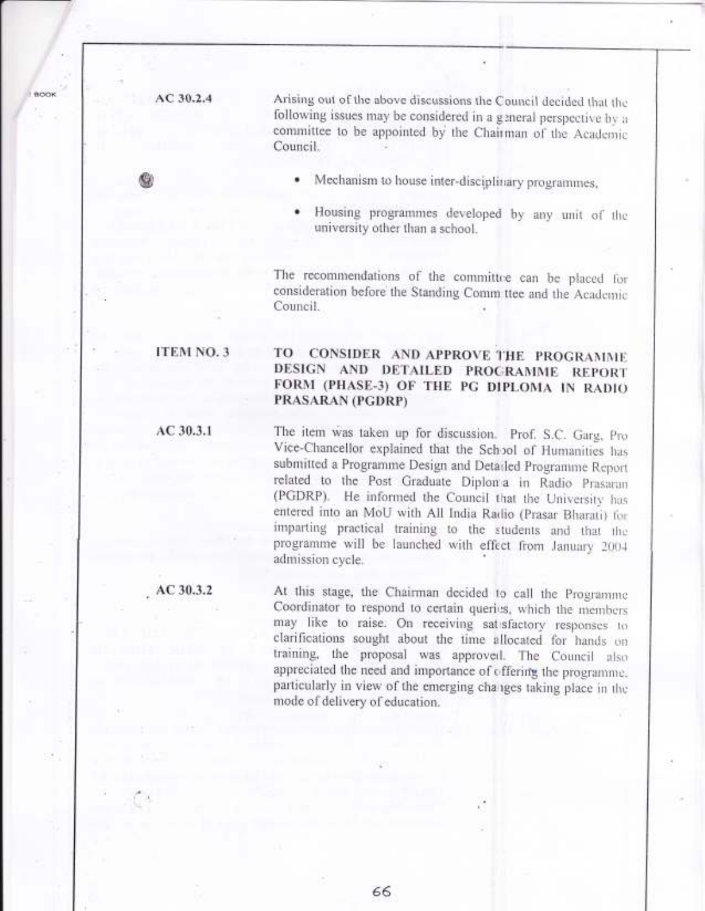$AC30.2.4$ 

Arising out of the above discussions the Council decided that the following issues may be considered in a general perspective by a committee to be appointed by the Chairman of the Academic Council.

- Mechanism to house inter-disciplinary programmes,
- Housing programmes developed by any unit of the university other than a school.

The recommendations of the committee can be placed for consideration before the Standing Comm ttee and the Academic Council.

## **ITEM NO. 3**

AC 30.3.1

### **CONSIDER AND APPROVE THE PROGRAMME** TO DESIGN AND DETAILED PROGRAMME REPORT FORM (PHASE-3) OF THE PG DIPLOMA IN RADIO PRASARAN (PGDRP)

The item was taken up for discussion. Prof. S.C. Garg, Pro Vice-Chancellor explained that the School of Humanities has submitted a Programme Design and Detailed Programme Report related to the Post Graduate Diplon'a in Radio Prasaran (PGDRP). He informed the Council that the University has entered into an MoU with All India Radio (Prasar Bharati) for imparting practical training to the students and that the programme will be launched with effect from January 2004 admission cycle.

AC 30.3.2

At this stage, the Chairman decided to call the Programme Coordinator to respond to certain queries, which the members may like to raise. On receiving satisfactory responses to clarifications sought about the time allocated for hands on training, the proposal was approved. The Council also appreciated the need and importance of offering the programme. particularly in view of the emerging changes taking place in the mode of delivery of education.

66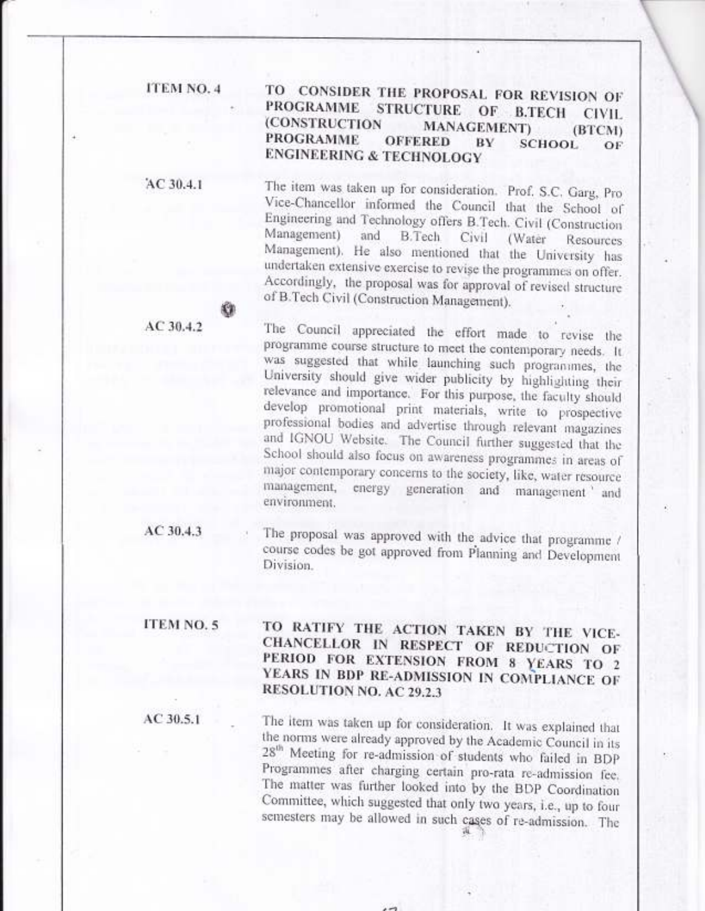ITEM NO. 4

#### TO CONSIDER THE PROPOSAL FOR REVISION OF **PROGRAMME STRUCTURE** OF **B.TECH CIVIL (CONSTRUCTION MANAGEMENT**) (BTCM) **PROGRAMME OFFERED BV SCHOOL** OF **ENGINEERING & TECHNOLOGY**

AC 30.4.1

The item was taken up for consideration. Prof. S.C. Garg, Pro Vice-Chancellor informed the Council that the School of Engineering and Technology offers B.Tech. Civil (Construction Management) and B.Tech Civil (Water Resources Management). He also mentioned that the University has undertaken extensive exercise to revise the programmes on offer. Accordingly, the proposal was for approval of revised structure of B.Tech Civil (Construction Management).

 $AC30.4.2$ 

The Council appreciated the effort made to revise the programme course structure to meet the contemporary needs. It was suggested that while launching such programmes, the University should give wider publicity by highlighting their relevance and importance. For this purpose, the faculty should develop promotional print materials, write to prospective professional bodies and advertise through relevant magazines and IGNOU Website. The Council further suggested that the School should also focus on awareness programmes in areas of major contemporary concerns to the society, like, water resource management, energy generation and management and environment.

 $AC30.4.3$ 

The proposal was approved with the advice that programme / course codes be got approved from Planning and Development Division.

ITEM NO. 5

AC 30.5.1

TO RATIFY THE ACTION TAKEN BY THE VICE-CHANCELLOR IN RESPECT OF REDUCTION OF PERIOD FOR EXTENSION FROM 8 YEARS TO 2 YEARS IN BDP RE-ADMISSION IN COMPLIANCE OF RESOLUTION NO. AC 29.2.3

The item was taken up for consideration. It was explained that the norms were already approved by the Academic Council in its 28<sup>th</sup> Meeting for re-admission of students who failed in BDP Programmes after charging certain pro-rata re-admission fee. The matter was further looked into by the BDP Coordination Committee, which suggested that only two years, i.e., up to four semesters may be allowed in such cases of re-admission. The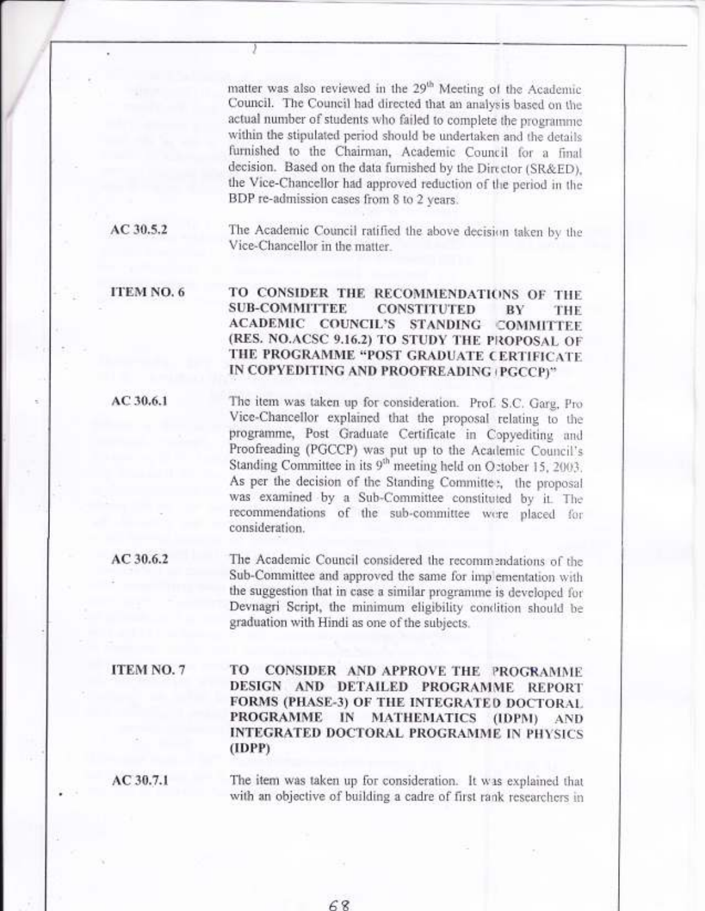matter was also reviewed in the 29<sup>th</sup> Meeting of the Academic Council. The Council had directed that an analysis based on the actual number of students who failed to complete the programnre within the stipulated period should be undertaken and the details furnished to the Chairman, Academic Council for a final decision. Based on the data furnished by the Director (SR&ED), the Vice-Chancellor had approved reduction of the period in the BDP re-aclmission cases from B to 2 years.

The Academic Council ratified the above decision taken by the Vice-Chancellor in the matter

ITEM NO.6 TO CONSIDER THE RECOMMENDATIONS OF THE SUB-COMMITTEE CONSTITUTED BY THE SUB-COMMITTEE CONSTITUTED BY THE ACADEMIC COUNCIL'S STANDING COMMITTER (RES. NO.ACSC 9.16.2) TO STUDY THE PROPOSAL OF THE PROGRAMME "POST GRADUATE CERTIFICATE IN COPYEDITING AND PROOFREADING (PGCCP)"

AC 30.6.1

AC 30.5.2

The item was taken up for consideration. Prof. S.C. Garg, Pro Vice-Chancellor explained that the proposal relating to the programme, Post Graduate Certificate in Copyediting and Proofreading (PGCCP) was put up to the Academic Council's Standing Committee in its 9<sup>th</sup> meeting held on O:tober 15, 2003. As per the decision of the Standing Committee, the proposal was examined by a Sub-Committee constituted by it. The recommendations of the sub-committee were placed for consideration.

AC 30,6.2

The Academic Council considered the recommendations of the Sub-Committee and approved the same for imp ementation with the suggestion that in case a similar programme is developed for Devnagri Script, the minimum eligibility condition should be graduation with Hindi as one of the subjects

ITEM NO.7

TO CONSIDER AND APPROVE THE PROGRAMME DESIGN AND DETAILED PROGRAMME REPORT FORMS (PHASE-3) OF THE INTEGRATED DOCTORAL PROGRAMME IN MATHEMATICS (IDPM) AND INTEGRATED DOCTORAL PROGRAMME IN PHYSICS (IDPP)

AC 30.7.1

The item was taken up for consideration. It was explained that with an objective of building a cadre of first rank researchers in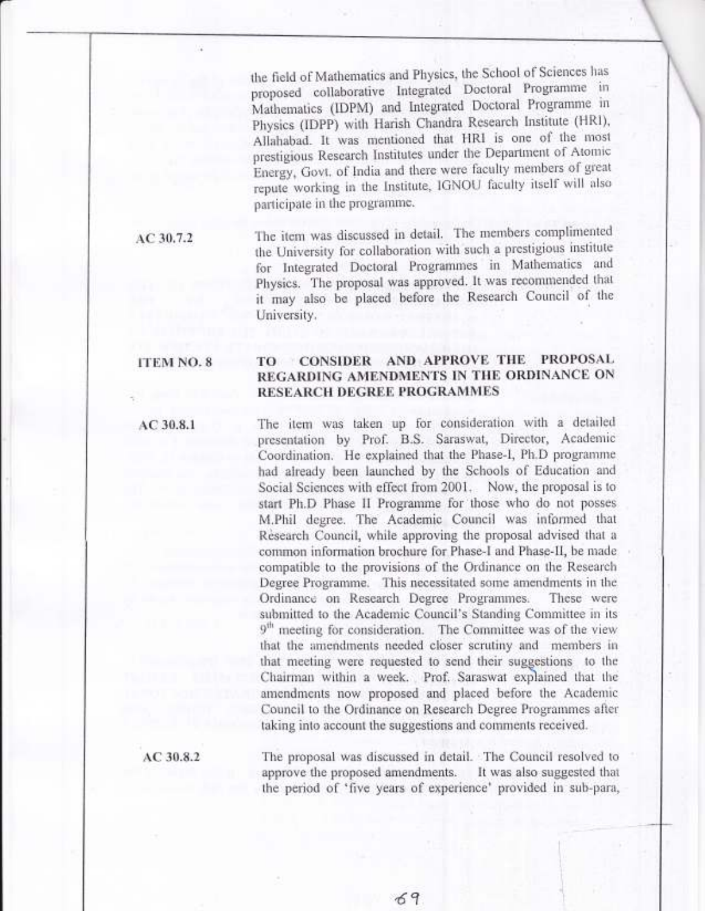the field of Mathematics and Physics, the School of Sciences has proposed collaborative Integrated Doctoral Programme in Mathematics (IDPM) and Integrated Doctoral Programme in Physics (IDPP) with Harish Chandra Research Institute (HRI), Allahabad. It was mentioned that HRI is one of the most prestigious Research lnstitutes under the Department of Atomic Energy, Govt. of India and there were faculty members of great repute working in the Institute, IGNOU faculty itself will also participate in the programme.

 $AC$  30.7.2 The item was discussed in detail. The members complimented the University for collaboration with such a prestigious institute for Integrated Doctoral Programmes in Mathematics and Physics. The proposal was approved. It was recommended that it may also be placed before the Research Council of the University.

### ITEM NO.8 TO CONSIDER AND APPROVE THE PROPOSAL REGARDING AMENDMENTS IN THE ORDINANCE ON RESEARCH DEGREE PROGRAMMES

The item was taken up for consideration with a detailed presentation by Prof. B.S. Saraswat, Director, Academic Coordination. He explained that the Phase-I, Ph.D programme had already been launched by the Schools of Education and Social Sciences with effect from 2001. Now, the proposal is to start Ph.D Phase II Programme for those who do not posses M.Phil degree. The Academic, Council was informed that Research Council, while approving the proposal advised that <sup>a</sup> common information brochure for Phase-I and Phase-II, be made compatible to the provisions of the Ordinance on the Research Degree Programme. This necessitated some amendments in the Ordinance on Research Degree Programmes. These were submitted to the Academic Council's Standing Committee in its 9<sup>th</sup> meeting for consideration. The Committee was of the view that the amendments needed closer scrutiny and members in that meeting were requested to send their suggestions to the . Chairman within a week. , ,Prof. Saraswat exp)ained that the amendments now proposed and placed before the Academic Council to the Ordinance on Research Degree Programmes after taking into account the suggestions and comments received.

AC 30.8.2

Ac 30.8.1

The proposal was discussed in detail. The Council resolved to approve the proposed amendments. It was also suggested that the period of 'five years of experience' provided in sub-para,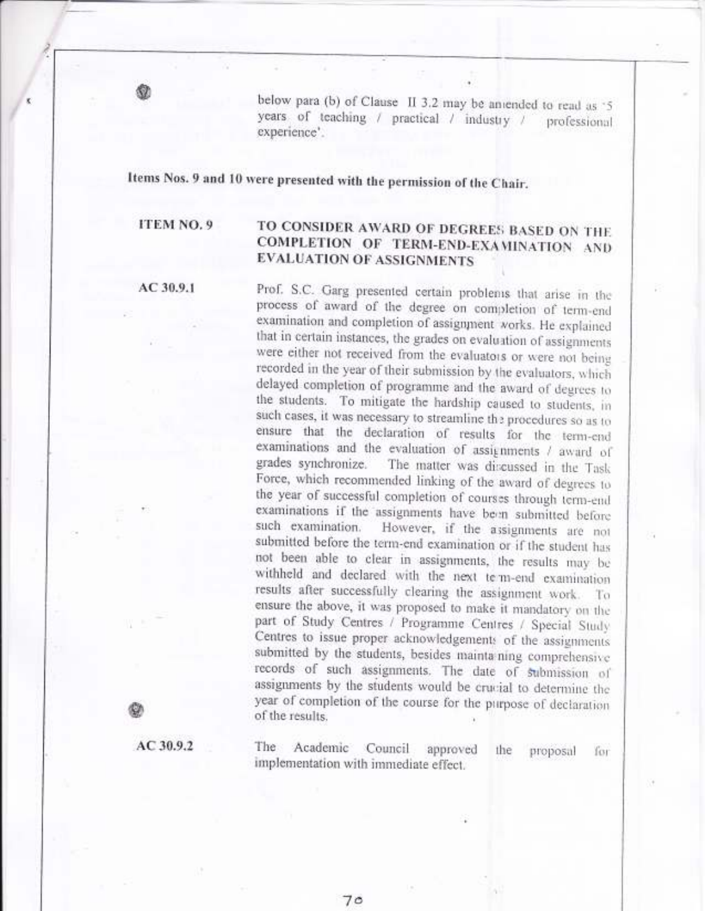below para (b) of Clause II 3.2 may be aniended to read as '5 years of teaching / practical / industry / professional experience'.

Items Nos. 9 and 10 were presented with the permission of the Chair.

ITEM NO. 9

# TO CONSIDER AWARD OF DEGREES BASED ON THE COMPLETION OF TERM-END-EXAMINATION AND **EVALUATION OF ASSIGNMENTS**

AC 30.9.1

Prof. S.C. Garg presented certain problems that arise in the process of award of the degree on completion of term-end examination and completion of assignment works. He explained that in certain instances, the grades on evaluation of assignments were either not received from the evaluators or were not being recorded in the year of their submission by the evaluators, which delayed completion of programme and the award of degrees to the students. To mitigate the hardship caused to students, in such cases, it was necessary to streamline the procedures so as to ensure that the declaration of results for the term-end examinations and the evaluation of assignments / award of grades synchronize. The matter was discussed in the Task Force, which recommended linking of the award of degrees to the year of successful completion of courses through term-end examinations if the assignments have been submitted before such examination. However, if the assignments are not submitted before the term-end examination or if the student has not been able to clear in assignments, the results may be withheld and declared with the next term-end examination results after successfully clearing the assignment work. To ensure the above, it was proposed to make it mandatory on the part of Study Centres / Programme Centres / Special Study Centres to issue proper acknowledgements of the assignments submitted by the students, besides maintaining comprehensive records of such assignments. The date of submission of assignments by the students would be crucial to determine the year of completion of the course for the purpose of declaration of the results.

AC 30.9.2

The Academic Council approved the proposal for implementation with immediate effect.